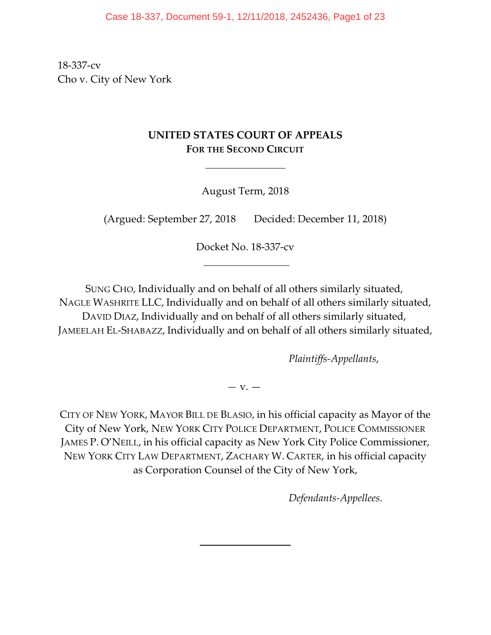18-337-cv Cho v. City of New York

# **UNITED STATES COURT OF APPEALS FOR THE SECOND CIRCUIT**

 $\overline{a}$ 

August Term, 2018

(Argued: September 27, 2018 Decided: December 11, 2018)

Docket No. 18-337-cv

SUNG CHO, Individually and on behalf of all others similarly situated, NAGLE WASHRITE LLC, Individually and on behalf of all others similarly situated, DAVID DIAZ, Individually and on behalf of all others similarly situated, JAMEELAH EL-SHABAZZ, Individually and on behalf of all others similarly situated,

*Plaintiffs-Appellants*,

*—* v. —

CITY OF NEW YORK, MAYOR BILL DE BLASIO, in his official capacity as Mayor of the City of New York, NEW YORK CITY POLICE DEPARTMENT, POLICE COMMISSIONER JAMES P. O'NEILL, in his official capacity as New York City Police Commissioner, NEW YORK CITY LAW DEPARTMENT, ZACHARY W. CARTER, in his official capacity as Corporation Counsel of the City of New York,

 $\overline{\phantom{a}}$ 

*Defendants-Appellees*.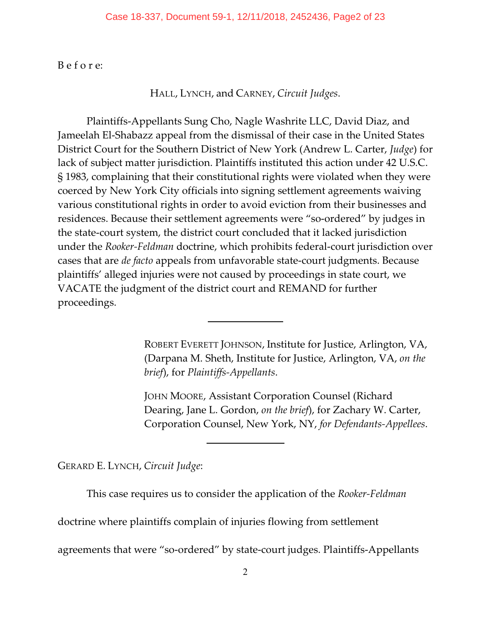B e f o r e:

HALL, LYNCH, and CARNEY, *Circuit Judges*.

Plaintiffs-Appellants Sung Cho, Nagle Washrite LLC, David Diaz, and Jameelah El-Shabazz appeal from the dismissal of their case in the United States District Court for the Southern District of New York (Andrew L. Carter, *Judge*) for lack of subject matter jurisdiction. Plaintiffs instituted this action under 42 U.S.C. § 1983, complaining that their constitutional rights were violated when they were coerced by New York City officials into signing settlement agreements waiving various constitutional rights in order to avoid eviction from their businesses and residences. Because their settlement agreements were "so-ordered" by judges in the state-court system, the district court concluded that it lacked jurisdiction under the *Rooker-Feldman* doctrine, which prohibits federal-court jurisdiction over cases that are *de facto* appeals from unfavorable state-court judgments. Because plaintiffs' alleged injuries were not caused by proceedings in state court, we VACATE the judgment of the district court and REMAND for further proceedings.

> ROBERT EVERETT JOHNSON, Institute for Justice, Arlington, VA, (Darpana M. Sheth, Institute for Justice, Arlington, VA, *on the brief*), for *Plaintiffs-Appellants*.

> JOHN MOORE, Assistant Corporation Counsel (Richard Dearing, Jane L. Gordon, *on the brief*), for Zachary W. Carter, Corporation Counsel, New York, NY, *for Defendants-Appellees*.

GERARD E. LYNCH, *Circuit Judge*:

This case requires us to consider the application of the *Rooker-Feldman*

doctrine where plaintiffs complain of injuries flowing from settlement

 $\overline{\phantom{a}}$ 

 $\overline{a}$ 

agreements that were "so-ordered" by state-court judges. Plaintiffs-Appellants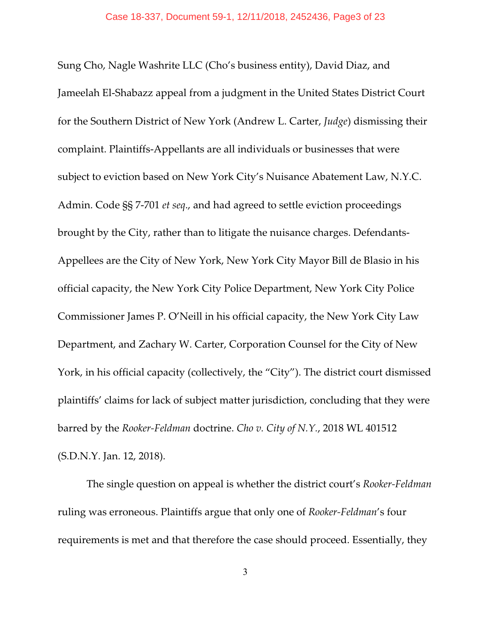Sung Cho, Nagle Washrite LLC (Cho's business entity), David Diaz, and Jameelah El-Shabazz appeal from a judgment in the United States District Court for the Southern District of New York (Andrew L. Carter, *Judge*) dismissing their complaint. Plaintiffs-Appellants are all individuals or businesses that were subject to eviction based on New York City's Nuisance Abatement Law, N.Y.C. Admin. Code §§ 7-701 *et seq*., and had agreed to settle eviction proceedings brought by the City, rather than to litigate the nuisance charges. Defendants-Appellees are the City of New York, New York City Mayor Bill de Blasio in his official capacity, the New York City Police Department, New York City Police Commissioner James P. O'Neill in his official capacity, the New York City Law Department, and Zachary W. Carter, Corporation Counsel for the City of New York, in his official capacity (collectively, the "City"). The district court dismissed plaintiffs' claims for lack of subject matter jurisdiction, concluding that they were barred by the *Rooker-Feldman* doctrine. *Cho v. City of N.Y.*, 2018 WL 401512 (S.D.N.Y. Jan. 12, 2018).

The single question on appeal is whether the district court's *Rooker-Feldman* ruling was erroneous. Plaintiffs argue that only one of *Rooker-Feldman*'s four requirements is met and that therefore the case should proceed. Essentially, they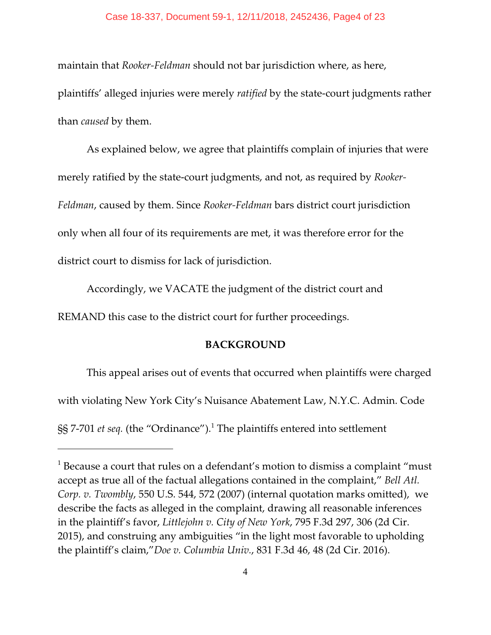maintain that *Rooker-Feldman* should not bar jurisdiction where, as here, plaintiffs' alleged injuries were merely *ratified* by the state-court judgments rather than *caused* by them.

As explained below, we agree that plaintiffs complain of injuries that were merely ratified by the state-court judgments, and not, as required by *Rooker-Feldman*, caused by them. Since *Rooker-Feldman* bars district court jurisdiction only when all four of its requirements are met, it was therefore error for the district court to dismiss for lack of jurisdiction.

Accordingly, we VACATE the judgment of the district court and REMAND this case to the district court for further proceedings.

## **BACKGROUND**

This appeal arises out of events that occurred when plaintiffs were charged with violating New York City's Nuisance Abatement Law, N.Y.C. Admin. Code §§ 7-701 *et seq.* (the "Ordinance").<sup>1</sup> The plaintiffs entered into settlement

 $^{\rm 1}$  Because a court that rules on a defendant's motion to dismiss a complaint "must accept as true all of the factual allegations contained in the complaint," *Bell Atl. Corp. v. Twombly*, 550 U.S. 544, 572 (2007) (internal quotation marks omitted), we describe the facts as alleged in the complaint, drawing all reasonable inferences in the plaintiff's favor, *Littlejohn v. City of New York*, 795 F.3d 297, 306 (2d Cir. 2015), and construing any ambiguities "in the light most favorable to upholding the plaintiff's claim,"*Doe v. Columbia Univ.*, 831 F.3d 46, 48 (2d Cir. 2016).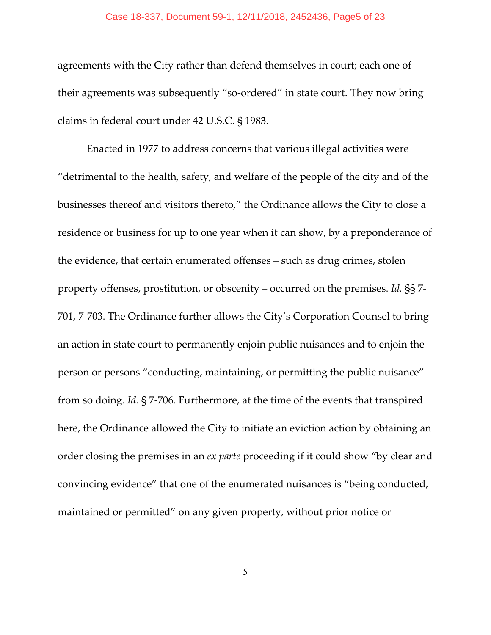agreements with the City rather than defend themselves in court; each one of their agreements was subsequently "so-ordered" in state court. They now bring claims in federal court under 42 U.S.C. § 1983.

Enacted in 1977 to address concerns that various illegal activities were "detrimental to the health, safety, and welfare of the people of the city and of the businesses thereof and visitors thereto," the Ordinance allows the City to close a residence or business for up to one year when it can show, by a preponderance of the evidence, that certain enumerated offenses – such as drug crimes, stolen property offenses, prostitution, or obscenity – occurred on the premises. *Id.* §§ 7- 701, 7-703. The Ordinance further allows the City's Corporation Counsel to bring an action in state court to permanently enjoin public nuisances and to enjoin the person or persons "conducting, maintaining, or permitting the public nuisance" from so doing. *Id.* § 7-706. Furthermore, at the time of the events that transpired here, the Ordinance allowed the City to initiate an eviction action by obtaining an order closing the premises in an *ex parte* proceeding if it could show "by clear and convincing evidence" that one of the enumerated nuisances is "being conducted, maintained or permitted" on any given property, without prior notice or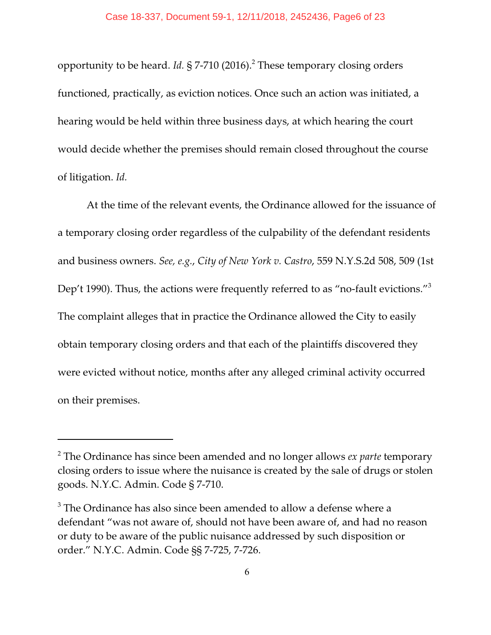opportunity to be heard. *Id.* § 7-710 (2016).<sup>2</sup> These temporary closing orders functioned, practically, as eviction notices. Once such an action was initiated, a hearing would be held within three business days, at which hearing the court would decide whether the premises should remain closed throughout the course of litigation. *Id.*

At the time of the relevant events, the Ordinance allowed for the issuance of a temporary closing order regardless of the culpability of the defendant residents and business owners. *See, e.g.*, *City of New York v. Castro*, 559 N.Y.S.2d 508, 509 (1st Dep't 1990). Thus, the actions were frequently referred to as "no-fault evictions."<sup>3</sup> The complaint alleges that in practice the Ordinance allowed the City to easily obtain temporary closing orders and that each of the plaintiffs discovered they were evicted without notice, months after any alleged criminal activity occurred on their premises.

<sup>2</sup> The Ordinance has since been amended and no longer allows *ex parte* temporary closing orders to issue where the nuisance is created by the sale of drugs or stolen goods. N.Y.C. Admin. Code § 7-710.

 $3$  The Ordinance has also since been amended to allow a defense where a defendant "was not aware of, should not have been aware of, and had no reason or duty to be aware of the public nuisance addressed by such disposition or order." N.Y.C. Admin. Code §§ 7-725, 7-726.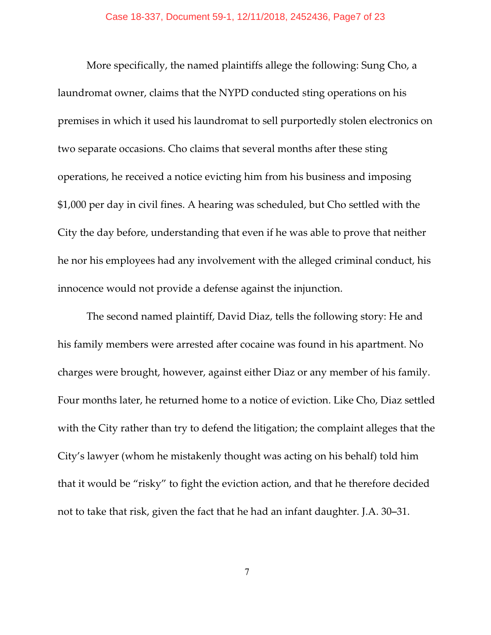More specifically, the named plaintiffs allege the following: Sung Cho, a laundromat owner, claims that the NYPD conducted sting operations on his premises in which it used his laundromat to sell purportedly stolen electronics on two separate occasions. Cho claims that several months after these sting operations, he received a notice evicting him from his business and imposing \$1,000 per day in civil fines. A hearing was scheduled, but Cho settled with the City the day before, understanding that even if he was able to prove that neither he nor his employees had any involvement with the alleged criminal conduct, his innocence would not provide a defense against the injunction.

The second named plaintiff, David Diaz, tells the following story: He and his family members were arrested after cocaine was found in his apartment. No charges were brought, however, against either Diaz or any member of his family. Four months later, he returned home to a notice of eviction. Like Cho, Diaz settled with the City rather than try to defend the litigation; the complaint alleges that the City's lawyer (whom he mistakenly thought was acting on his behalf) told him that it would be "risky" to fight the eviction action, and that he therefore decided not to take that risk, given the fact that he had an infant daughter. J.A. 30–31.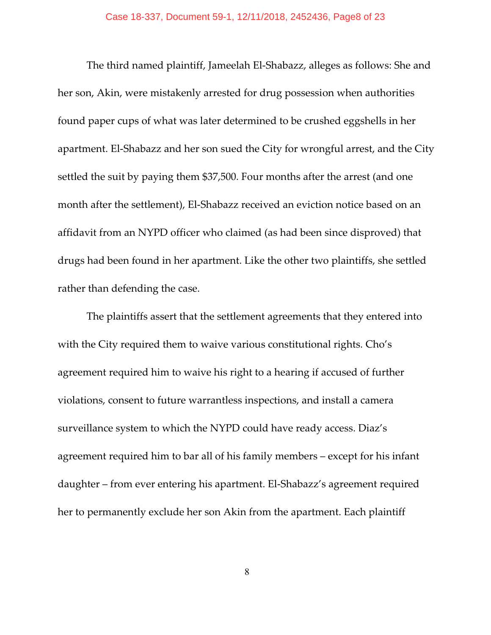The third named plaintiff, Jameelah El-Shabazz, alleges as follows: She and her son, Akin, were mistakenly arrested for drug possession when authorities found paper cups of what was later determined to be crushed eggshells in her apartment. El-Shabazz and her son sued the City for wrongful arrest, and the City settled the suit by paying them \$37,500. Four months after the arrest (and one month after the settlement), El-Shabazz received an eviction notice based on an affidavit from an NYPD officer who claimed (as had been since disproved) that drugs had been found in her apartment. Like the other two plaintiffs, she settled rather than defending the case.

The plaintiffs assert that the settlement agreements that they entered into with the City required them to waive various constitutional rights. Cho's agreement required him to waive his right to a hearing if accused of further violations, consent to future warrantless inspections, and install a camera surveillance system to which the NYPD could have ready access. Diaz's agreement required him to bar all of his family members – except for his infant daughter – from ever entering his apartment. El-Shabazz's agreement required her to permanently exclude her son Akin from the apartment. Each plaintiff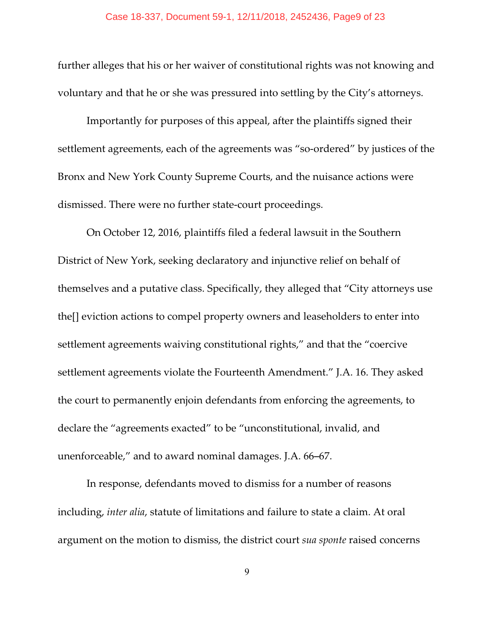further alleges that his or her waiver of constitutional rights was not knowing and voluntary and that he or she was pressured into settling by the City's attorneys.

Importantly for purposes of this appeal, after the plaintiffs signed their settlement agreements, each of the agreements was "so-ordered" by justices of the Bronx and New York County Supreme Courts, and the nuisance actions were dismissed. There were no further state-court proceedings.

On October 12, 2016, plaintiffs filed a federal lawsuit in the Southern District of New York, seeking declaratory and injunctive relief on behalf of themselves and a putative class. Specifically, they alleged that "City attorneys use the[] eviction actions to compel property owners and leaseholders to enter into settlement agreements waiving constitutional rights," and that the "coercive settlement agreements violate the Fourteenth Amendment." J.A. 16. They asked the court to permanently enjoin defendants from enforcing the agreements, to declare the "agreements exacted" to be "unconstitutional, invalid, and unenforceable," and to award nominal damages. J.A. 66–67.

In response, defendants moved to dismiss for a number of reasons including, *inter alia*, statute of limitations and failure to state a claim. At oral argument on the motion to dismiss, the district court *sua sponte* raised concerns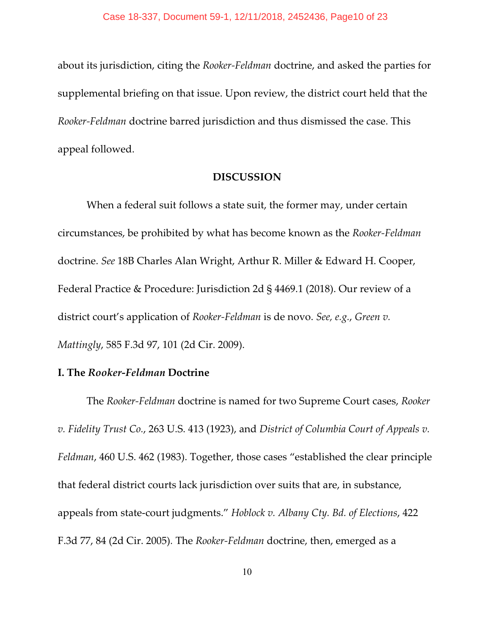about its jurisdiction, citing the *Rooker-Feldman* doctrine, and asked the parties for supplemental briefing on that issue. Upon review, the district court held that the *Rooker-Feldman* doctrine barred jurisdiction and thus dismissed the case. This appeal followed.

## **DISCUSSION**

When a federal suit follows a state suit, the former may, under certain circumstances, be prohibited by what has become known as the *Rooker-Feldman* doctrine. *See* 18B Charles Alan Wright, Arthur R. Miller & Edward H. Cooper, Federal Practice & Procedure: Jurisdiction 2d § 4469.1 (2018). Our review of a district court's application of *Rooker-Feldman* is de novo. *See, e.g.*, *Green v. Mattingly*, 585 F.3d 97, 101 (2d Cir. 2009).

## **I. The** *Rooker-Feldman* **Doctrine**

The *Rooker-Feldman* doctrine is named for two Supreme Court cases, *Rooker v. Fidelity Trust Co.*, 263 U.S. 413 (1923), and *District of Columbia Court of Appeals v. Feldman*, 460 U.S. 462 (1983). Together, those cases "established the clear principle that federal district courts lack jurisdiction over suits that are, in substance, appeals from state-court judgments." *Hoblock v. Albany Cty. Bd. of Elections*, 422 F.3d 77, 84 (2d Cir. 2005)*.* The *Rooker-Feldman* doctrine, then, emerged as a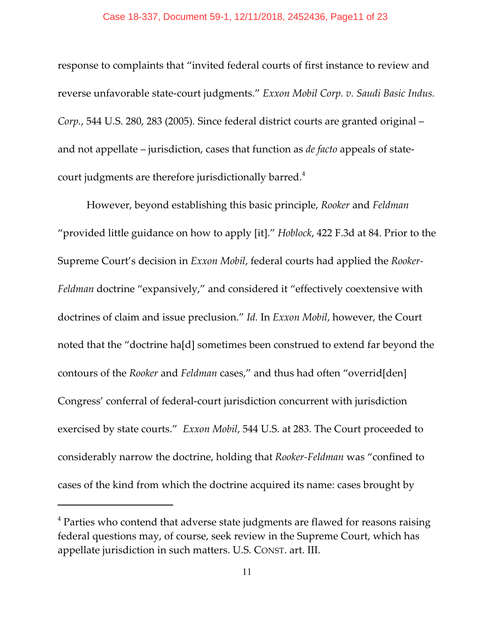#### Case 18-337, Document 59-1, 12/11/2018, 2452436, Page11 of 23

response to complaints that "invited federal courts of first instance to review and reverse unfavorable state-court judgments." *Exxon Mobil Corp. v. Saudi Basic Indus. Corp.*, 544 U.S. 280, 283 (2005)*.* Since federal district courts are granted original – and not appellate – jurisdiction, cases that function as *de facto* appeals of statecourt judgments are therefore jurisdictionally barred.<sup>4</sup>

However, beyond establishing this basic principle, *Rooker* and *Feldman* "provided little guidance on how to apply [it]." *Hoblock*, 422 F.3d at 84. Prior to the Supreme Court's decision in *Exxon Mobil*, federal courts had applied the *Rooker-Feldman* doctrine "expansively," and considered it "effectively coextensive with doctrines of claim and issue preclusion." *Id.* In *Exxon Mobil*, however, the Court noted that the "doctrine ha[d] sometimes been construed to extend far beyond the contours of the *Rooker* and *Feldman* cases," and thus had often "overrid[den] Congress' conferral of federal-court jurisdiction concurrent with jurisdiction exercised by state courts." *Exxon Mobil*, 544 U.S. at 283. The Court proceeded to considerably narrow the doctrine, holding that *Rooker-Feldman* was "confined to cases of the kind from which the doctrine acquired its name: cases brought by

 $^4$  Parties who contend that adverse state judgments are flawed for reasons raising federal questions may, of course, seek review in the Supreme Court, which has appellate jurisdiction in such matters. U.S. CONST. art. III.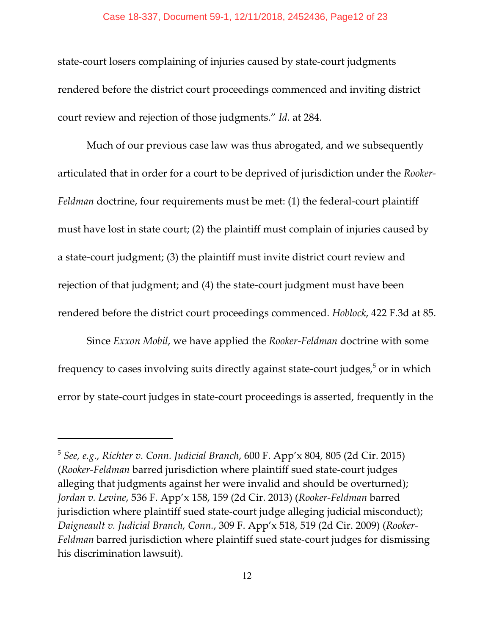#### Case 18-337, Document 59-1, 12/11/2018, 2452436, Page12 of 23

state-court losers complaining of injuries caused by state-court judgments rendered before the district court proceedings commenced and inviting district court review and rejection of those judgments." *Id.* at 284.

Much of our previous case law was thus abrogated, and we subsequently articulated that in order for a court to be deprived of jurisdiction under the *Rooker-Feldman* doctrine, four requirements must be met: (1) the federal-court plaintiff must have lost in state court; (2) the plaintiff must complain of injuries caused by a state-court judgment; (3) the plaintiff must invite district court review and rejection of that judgment; and (4) the state-court judgment must have been rendered before the district court proceedings commenced. *Hoblock*, 422 F.3d at 85.

Since *Exxon Mobil*, we have applied the *Rooker-Feldman* doctrine with some frequency to cases involving suits directly against state-court judges, $^5$  or in which error by state-court judges in state-court proceedings is asserted, frequently in the

<sup>5</sup> *See, e.g., Richter v. Conn. Judicial Branch*, 600 F. App'x 804, 805 (2d Cir. 2015) (*Rooker-Feldman* barred jurisdiction where plaintiff sued state-court judges alleging that judgments against her were invalid and should be overturned); *Jordan v. Levine*, 536 F. App'x 158, 159 (2d Cir. 2013) (*Rooker-Feldman* barred jurisdiction where plaintiff sued state-court judge alleging judicial misconduct); *Daigneault v. Judicial Branch, Conn.*, 309 F. App'x 518, 519 (2d Cir. 2009) (*Rooker-Feldman* barred jurisdiction where plaintiff sued state-court judges for dismissing his discrimination lawsuit).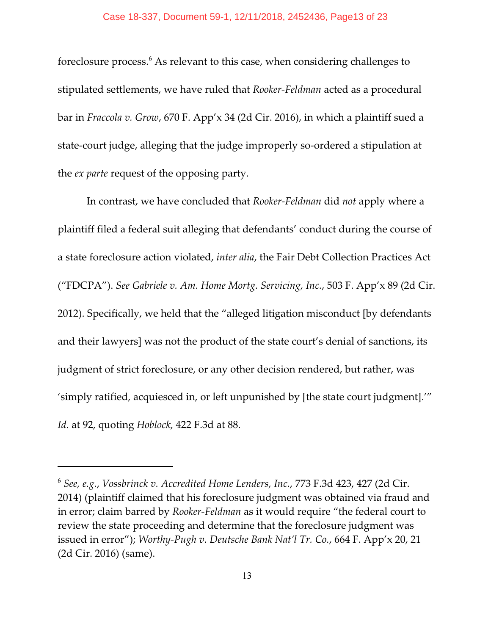foreclosure process.<sup>6</sup> As relevant to this case, when considering challenges to stipulated settlements, we have ruled that *Rooker-Feldman* acted as a procedural bar in *Fraccola v. Grow*, 670 F. App'x 34 (2d Cir. 2016), in which a plaintiff sued a state-court judge, alleging that the judge improperly so-ordered a stipulation at the *ex parte* request of the opposing party.

In contrast, we have concluded that *Rooker-Feldman* did *not* apply where a plaintiff filed a federal suit alleging that defendants' conduct during the course of a state foreclosure action violated, *inter alia*, the Fair Debt Collection Practices Act ("FDCPA"). *See Gabriele v. Am. Home Mortg. Servicing, Inc.*, 503 F. App'x 89 (2d Cir. 2012). Specifically, we held that the "alleged litigation misconduct [by defendants and their lawyers] was not the product of the state court's denial of sanctions, its judgment of strict foreclosure, or any other decision rendered, but rather, was 'simply ratified, acquiesced in, or left unpunished by [the state court judgment].'" *Id.* at 92, quoting *Hoblock*, 422 F.3d at 88.

<sup>6</sup> *See, e.g.*, *Vossbrinck v. Accredited Home Lenders, Inc.*, 773 F.3d 423, 427 (2d Cir. 2014) (plaintiff claimed that his foreclosure judgment was obtained via fraud and in error; claim barred by *Rooker-Feldman* as it would require "the federal court to review the state proceeding and determine that the foreclosure judgment was issued in error"); *Worthy-Pugh v. Deutsche Bank Nat'l Tr. Co.*, 664 F. App'x 20, 21 (2d Cir. 2016) (same).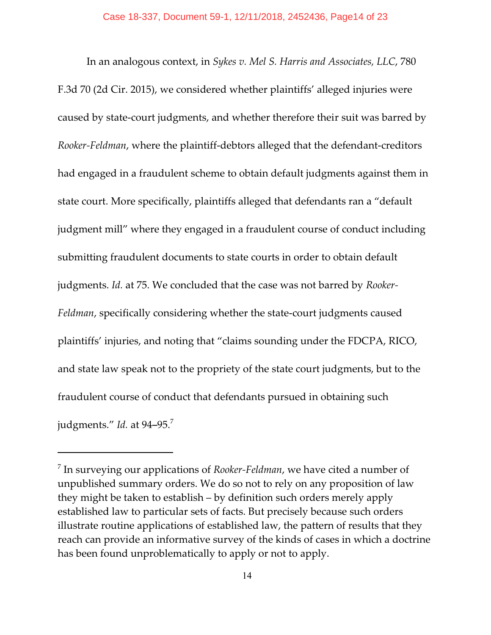In an analogous context, in *Sykes v. Mel S. Harris and Associates, LLC*, 780 F.3d 70 (2d Cir. 2015), we considered whether plaintiffs' alleged injuries were caused by state-court judgments, and whether therefore their suit was barred by *Rooker-Feldman*, where the plaintiff-debtors alleged that the defendant-creditors had engaged in a fraudulent scheme to obtain default judgments against them in state court. More specifically, plaintiffs alleged that defendants ran a "default judgment mill" where they engaged in a fraudulent course of conduct including submitting fraudulent documents to state courts in order to obtain default judgments. *Id.* at 75. We concluded that the case was not barred by *Rooker-Feldman*, specifically considering whether the state-court judgments caused plaintiffs' injuries, and noting that "claims sounding under the FDCPA, RICO, and state law speak not to the propriety of the state court judgments, but to the fraudulent course of conduct that defendants pursued in obtaining such judgments." *Id.* at 94–95.<sup>7</sup>

<sup>7</sup> In surveying our applications of *Rooker-Feldman*, we have cited a number of unpublished summary orders. We do so not to rely on any proposition of law they might be taken to establish – by definition such orders merely apply established law to particular sets of facts. But precisely because such orders illustrate routine applications of established law, the pattern of results that they reach can provide an informative survey of the kinds of cases in which a doctrine has been found unproblematically to apply or not to apply.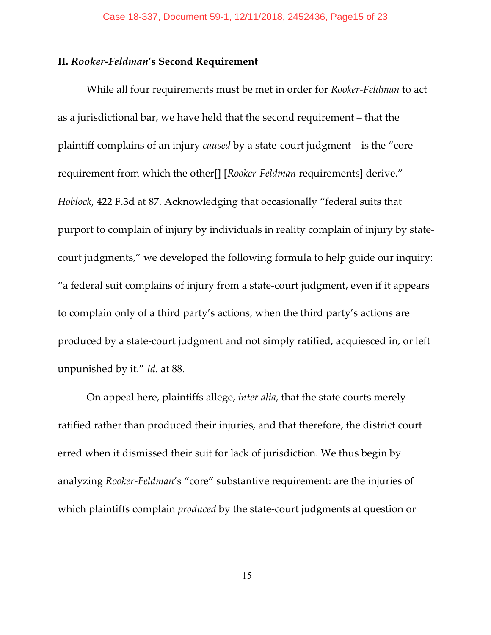## **II.** *Rooker-Feldman***'s Second Requirement**

While all four requirements must be met in order for *Rooker-Feldman* to act as a jurisdictional bar, we have held that the second requirement – that the plaintiff complains of an injury *caused* by a state-court judgment – is the "core requirement from which the other[] [*Rooker-Feldman* requirements] derive." *Hoblock*, 422 F.3d at 87. Acknowledging that occasionally "federal suits that purport to complain of injury by individuals in reality complain of injury by statecourt judgments," we developed the following formula to help guide our inquiry: "a federal suit complains of injury from a state-court judgment, even if it appears to complain only of a third party's actions, when the third party's actions are produced by a state-court judgment and not simply ratified, acquiesced in, or left unpunished by it." *Id.* at 88.

On appeal here, plaintiffs allege, *inter alia*, that the state courts merely ratified rather than produced their injuries, and that therefore, the district court erred when it dismissed their suit for lack of jurisdiction. We thus begin by analyzing *Rooker-Feldman*'s "core" substantive requirement: are the injuries of which plaintiffs complain *produced* by the state-court judgments at question or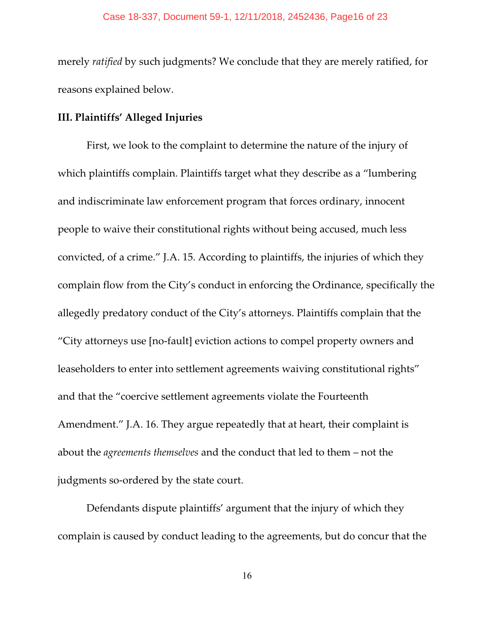#### Case 18-337, Document 59-1, 12/11/2018, 2452436, Page16 of 23

merely *ratified* by such judgments? We conclude that they are merely ratified, for reasons explained below.

### **III. Plaintiffs' Alleged Injuries**

First, we look to the complaint to determine the nature of the injury of which plaintiffs complain. Plaintiffs target what they describe as a "lumbering and indiscriminate law enforcement program that forces ordinary, innocent people to waive their constitutional rights without being accused, much less convicted, of a crime." J.A. 15. According to plaintiffs, the injuries of which they complain flow from the City's conduct in enforcing the Ordinance, specifically the allegedly predatory conduct of the City's attorneys. Plaintiffs complain that the "City attorneys use [no-fault] eviction actions to compel property owners and leaseholders to enter into settlement agreements waiving constitutional rights" and that the "coercive settlement agreements violate the Fourteenth Amendment." J.A. 16. They argue repeatedly that at heart, their complaint is about the *agreements themselves* and the conduct that led to them – not the judgments so-ordered by the state court.

Defendants dispute plaintiffs' argument that the injury of which they complain is caused by conduct leading to the agreements, but do concur that the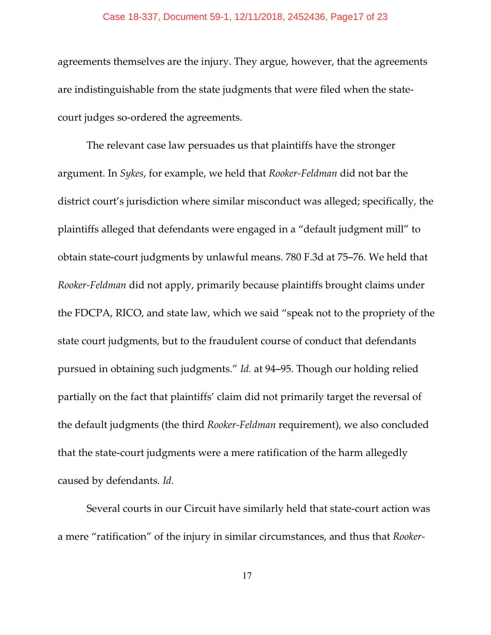#### Case 18-337, Document 59-1, 12/11/2018, 2452436, Page17 of 23

agreements themselves are the injury. They argue, however, that the agreements are indistinguishable from the state judgments that were filed when the statecourt judges so-ordered the agreements.

The relevant case law persuades us that plaintiffs have the stronger argument. In *Sykes*, for example, we held that *Rooker-Feldman* did not bar the district court's jurisdiction where similar misconduct was alleged; specifically, the plaintiffs alleged that defendants were engaged in a "default judgment mill" to obtain state-court judgments by unlawful means. 780 F.3d at 75–76. We held that *Rooker-Feldman* did not apply, primarily because plaintiffs brought claims under the FDCPA, RICO, and state law, which we said "speak not to the propriety of the state court judgments, but to the fraudulent course of conduct that defendants pursued in obtaining such judgments." *Id.* at 94-95. Though our holding relied partially on the fact that plaintiffs' claim did not primarily target the reversal of the default judgments (the third *Rooker-Feldman* requirement), we also concluded that the state-court judgments were a mere ratification of the harm allegedly caused by defendants. *Id.*

Several courts in our Circuit have similarly held that state-court action was a mere "ratification" of the injury in similar circumstances, and thus that *Rooker-*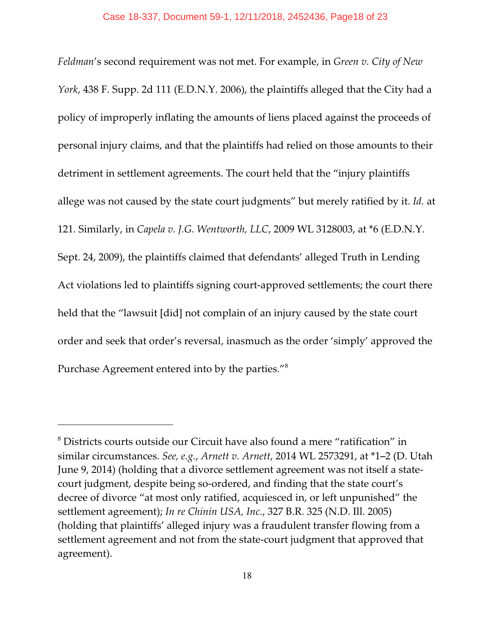*Feldman*'s second requirement was not met. For example, in *Green v. City of New York*, 438 F. Supp. 2d 111 (E.D.N.Y. 2006), the plaintiffs alleged that the City had a policy of improperly inflating the amounts of liens placed against the proceeds of personal injury claims, and that the plaintiffs had relied on those amounts to their detriment in settlement agreements. The court held that the "injury plaintiffs allege was not caused by the state court judgments" but merely ratified by it. *Id.* at 121. Similarly, in *Capela v. J.G. Wentworth, LLC*, 2009 WL 3128003, at \*6 (E.D.N.Y. Sept. 24, 2009), the plaintiffs claimed that defendants' alleged Truth in Lending Act violations led to plaintiffs signing court-approved settlements; the court there held that the "lawsuit [did] not complain of an injury caused by the state court order and seek that order's reversal, inasmuch as the order 'simply' approved the Purchase Agreement entered into by the parties."<sup>8</sup>

 $^8$  Districts courts outside our Circuit have also found a mere "ratification" in similar circumstances. *See, e.g., Arnett v. Arnett,* 2014 WL 2573291, at \*1-2 (D. Utah June 9, 2014) (holding that a divorce settlement agreement was not itself a statecourt judgment, despite being so-ordered, and finding that the state court's decree of divorce "at most only ratified, acquiesced in, or left unpunished" the settlement agreement); *In re Chinin USA, Inc.*, 327 B.R. 325 (N.D. Ill. 2005) (holding that plaintiffs' alleged injury was a fraudulent transfer flowing from a settlement agreement and not from the state-court judgment that approved that agreement).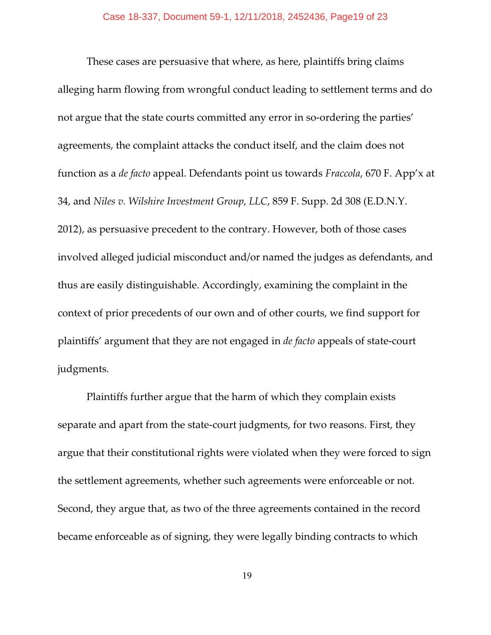These cases are persuasive that where, as here, plaintiffs bring claims alleging harm flowing from wrongful conduct leading to settlement terms and do not argue that the state courts committed any error in so-ordering the parties' agreements, the complaint attacks the conduct itself, and the claim does not function as a *de facto* appeal. Defendants point us towards *Fraccola*, 670 F. App'x at 34, and *Niles v. Wilshire Investment Group*, *LLC*, 859 F. Supp. 2d 308 (E.D.N.Y. 2012), as persuasive precedent to the contrary. However, both of those cases involved alleged judicial misconduct and/or named the judges as defendants, and thus are easily distinguishable. Accordingly, examining the complaint in the context of prior precedents of our own and of other courts, we find support for plaintiffs' argument that they are not engaged in *de facto* appeals of state-court judgments.

Plaintiffs further argue that the harm of which they complain exists separate and apart from the state-court judgments, for two reasons. First, they argue that their constitutional rights were violated when they were forced to sign the settlement agreements, whether such agreements were enforceable or not. Second, they argue that, as two of the three agreements contained in the record became enforceable as of signing, they were legally binding contracts to which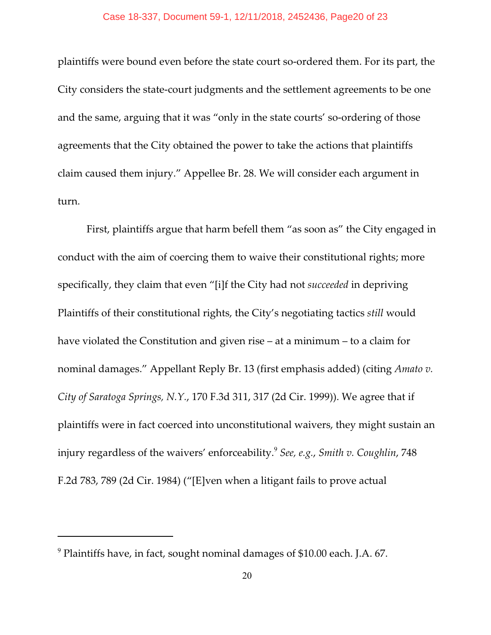plaintiffs were bound even before the state court so-ordered them. For its part, the City considers the state-court judgments and the settlement agreements to be one and the same, arguing that it was "only in the state courts' so-ordering of those agreements that the City obtained the power to take the actions that plaintiffs claim caused them injury." Appellee Br. 28. We will consider each argument in turn.

First, plaintiffs argue that harm befell them "as soon as" the City engaged in conduct with the aim of coercing them to waive their constitutional rights; more specifically, they claim that even "[i]f the City had not *succeeded* in depriving Plaintiffs of their constitutional rights, the City's negotiating tactics *still* would have violated the Constitution and given rise – at a minimum – to a claim for nominal damages." Appellant Reply Br. 13 (first emphasis added) (citing *Amato v. City of Saratoga Springs, N.Y.*, 170 F.3d 311, 317 (2d Cir. 1999)). We agree that if plaintiffs were in fact coerced into unconstitutional waivers, they might sustain an injury regardless of the waivers' enforceability.<sup>9</sup> *See, e.g.*, *Smith v. Coughlin*, 748 F.2d 783, 789 (2d Cir. 1984) ("[E]ven when a litigant fails to prove actual

 $^9$  Plaintiffs have, in fact, sought nominal damages of \$10.00 each. J.A. 67.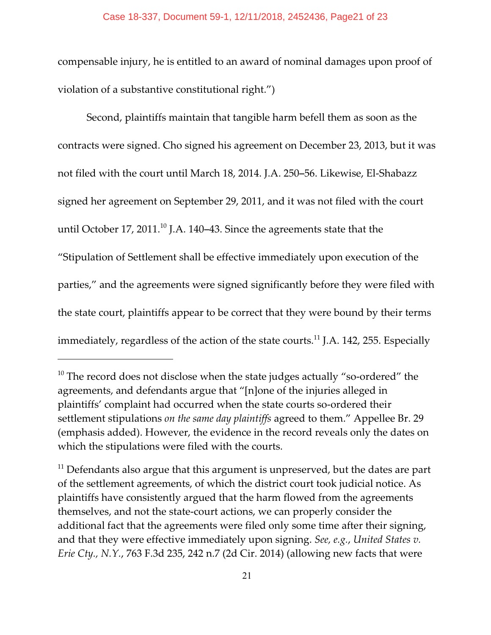compensable injury, he is entitled to an award of nominal damages upon proof of violation of a substantive constitutional right.")

Second, plaintiffs maintain that tangible harm befell them as soon as the contracts were signed. Cho signed his agreement on December 23, 2013, but it was not filed with the court until March 18, 2014. J.A. 250–56. Likewise, El-Shabazz signed her agreement on September 29, 2011, and it was not filed with the court until October 17, 2011.<sup>10</sup> J.A. 140–43. Since the agreements state that the "Stipulation of Settlement shall be effective immediately upon execution of the parties," and the agreements were signed significantly before they were filed with the state court, plaintiffs appear to be correct that they were bound by their terms immediately, regardless of the action of the state courts.<sup>11</sup> J.A. 142, 255. Especially

 $10$  The record does not disclose when the state judges actually "so-ordered" the agreements, and defendants argue that "[n]one of the injuries alleged in plaintiffs' complaint had occurred when the state courts so-ordered their settlement stipulations *on the same day plaintiffs* agreed to them." Appellee Br. 29 (emphasis added). However, the evidence in the record reveals only the dates on which the stipulations were filed with the courts.

 $11$  Defendants also argue that this argument is unpreserved, but the dates are part of the settlement agreements, of which the district court took judicial notice. As plaintiffs have consistently argued that the harm flowed from the agreements themselves, and not the state-court actions, we can properly consider the additional fact that the agreements were filed only some time after their signing, and that they were effective immediately upon signing. *See, e.g.*, *United States v. Erie Cty., N.Y.*, 763 F.3d 235, 242 n.7 (2d Cir. 2014) (allowing new facts that were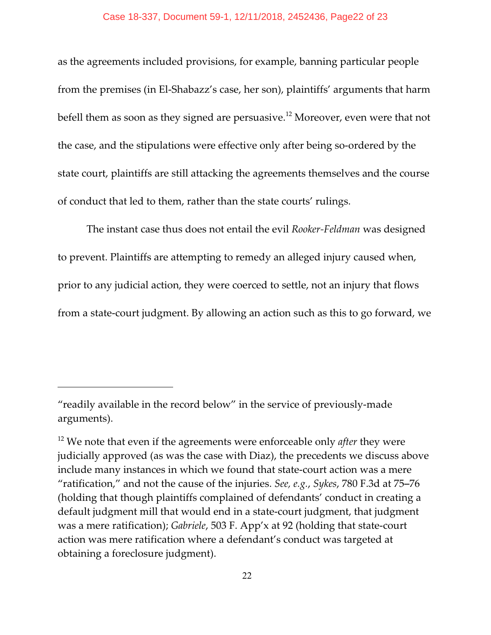### Case 18-337, Document 59-1, 12/11/2018, 2452436, Page22 of 23

as the agreements included provisions, for example, banning particular people from the premises (in El-Shabazz's case, her son), plaintiffs' arguments that harm befell them as soon as they signed are persuasive.<sup>12</sup> Moreover, even were that not the case, and the stipulations were effective only after being so-ordered by the state court, plaintiffs are still attacking the agreements themselves and the course of conduct that led to them, rather than the state courts' rulings.

The instant case thus does not entail the evil *Rooker-Feldman* was designed to prevent. Plaintiffs are attempting to remedy an alleged injury caused when, prior to any judicial action, they were coerced to settle, not an injury that flows from a state-court judgment. By allowing an action such as this to go forward, we

<sup>&</sup>quot;readily available in the record below" in the service of previously-made arguments).

<sup>12</sup> We note that even if the agreements were enforceable only *after* they were judicially approved (as was the case with Diaz), the precedents we discuss above include many instances in which we found that state-court action was a mere "ratification," and not the cause of the injuries. *See, e.g., Sykes,* 780 F.3d at 75–76 (holding that though plaintiffs complained of defendants' conduct in creating a default judgment mill that would end in a state-court judgment, that judgment was a mere ratification); *Gabriele*, 503 F. App'x at 92 (holding that state-court action was mere ratification where a defendant's conduct was targeted at obtaining a foreclosure judgment).